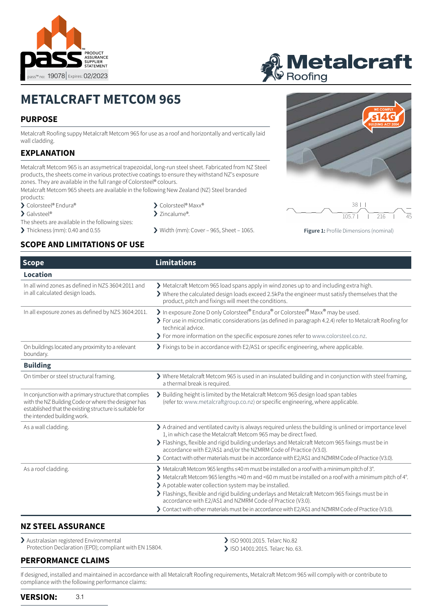

# **METALCRAFT METCOM 965**

## **PURPOSE**

Metalcraft Roofing suppy Metalcraft Metcom 965 for use as a roof and horizontally and vertically laid wall cladding.

### **EXPLANATION**

Metalcraft Metcom 965 is an assymetrical trapezoidal, long-run steel sheet. Fabricated from NZ Steel products, the sheets come in various protective coatings to ensure they withstand NZ's exposure zones. They are available in the full range of Colorsteel® colours.

Metalcraft Metcom 965 sheets are available in the following New Zealand (NZ) Steel branded products:

- > Colorsteel® Endura®
- > Galvsteel®
	-
- The sheets are available in the following sizes:
- 

#### **SCOPE AND LIMITATIONS OF USE**

- > Colorsteel® Maxx®
- > Zincalume®.
- > Thickness (mm): 0.40 and 0.55 > Width (mm): Cover 965, Sheet 1065.







**Figure 1:** Profile Dimensions (nominal)

| <b>Scope</b>                                                                                                                                                                                           | <b>Limitations</b>                                                                                                                                                                                                                                                                                                                                                                                                                                                                                                                                           |  |
|--------------------------------------------------------------------------------------------------------------------------------------------------------------------------------------------------------|--------------------------------------------------------------------------------------------------------------------------------------------------------------------------------------------------------------------------------------------------------------------------------------------------------------------------------------------------------------------------------------------------------------------------------------------------------------------------------------------------------------------------------------------------------------|--|
| <b>Location</b>                                                                                                                                                                                        |                                                                                                                                                                                                                                                                                                                                                                                                                                                                                                                                                              |  |
| In all wind zones as defined in NZS 3604:2011 and<br>in all calculated design loads.                                                                                                                   | > Metalcraft Metcom 965 load spans apply in wind zones up to and including extra high.<br>> Where the calculated design loads exceed 2.5kPa the engineer must satisfy themselves that the<br>product, pitch and fixings will meet the conditions.                                                                                                                                                                                                                                                                                                            |  |
| In all exposure zones as defined by NZS 3604:2011.                                                                                                                                                     | > In exposure Zone D only Colorsteel® Endura® or Colorsteel® Maxx® may be used.<br>> For use in microclimatic considerations (as defined in paragraph 4.2.4) refer to Metalcraft Roofing for<br>technical advice.<br>> For more information on the specific exposure zones refer to www.colorsteel.co.nz.                                                                                                                                                                                                                                                    |  |
| On buildings located any proximity to a relevant<br>boundary.                                                                                                                                          | > Fixings to be in accordance with E2/AS1 or specific engineering, where applicable.                                                                                                                                                                                                                                                                                                                                                                                                                                                                         |  |
| <b>Building</b>                                                                                                                                                                                        |                                                                                                                                                                                                                                                                                                                                                                                                                                                                                                                                                              |  |
| On timber or steel structural framing.                                                                                                                                                                 | > Where Metalcraft Metcom 965 is used in an insulated building and in conjunction with steel framing,<br>a thermal break is required.                                                                                                                                                                                                                                                                                                                                                                                                                        |  |
| In conjunction with a primary structure that complies<br>with the NZ Building Code or where the designer has<br>established that the existing structure is suitable for<br>the intended building work. | > Building height is limited by the Metalcraft Metcom 965 design load span tables<br>(refer to: www.metalcraftgroup.co.nz) or specific engineering, where applicable.                                                                                                                                                                                                                                                                                                                                                                                        |  |
| As a wall cladding.                                                                                                                                                                                    | A drained and ventilated cavity is always required unless the building is unlined or importance level<br>1, in which case the Metalcraft Metcom 965 may be direct fixed.<br>> Flashings, flexible and rigid building underlays and Metalcraft Metcom 965 fixings must be in<br>accordance with E2/AS1 and/or the NZMRM Code of Practice (V3.0).<br>> Contact with other materials must be in accordance with E2/AS1 and NZMRM Code of Practice (V3.0).                                                                                                       |  |
| As a roof cladding.                                                                                                                                                                                    | ▶ Metalcraft Metcom 965 lengths ≤40 m must be installed on a roof with a minimum pitch of 3°.<br>$\blacktriangleright$ Metalcraft Metcom 965 lengths >40 m and <60 m must be installed on a roof with a minimum pitch of 4°.<br>> A potable water collection system may be installed.<br>> Flashings, flexible and rigid building underlays and Metalcraft Metcom 965 fixings must be in<br>accordance with E2/AS1 and NZMRM Code of Practice (V3.0).<br>> Contact with other materials must be in accordance with E2/AS1 and NZMRM Code of Practice (V3.0). |  |

#### **NZ STEEL ASSURANCE**

> Australasian registered Environmental Protection Declaration (EPD); compliant with EN 15804.

#### **PERFORMANCE CLAIMS**

- > ISO 9001:2015. Telarc No.82
- › ISO 14001:2015. Telarc No. 63.

If designed, installed and maintained in accordance with all Metalcraft Roofing requirements, Metalcraft Metcom 965 will comply with or contribute to compliance with the following performance claims: